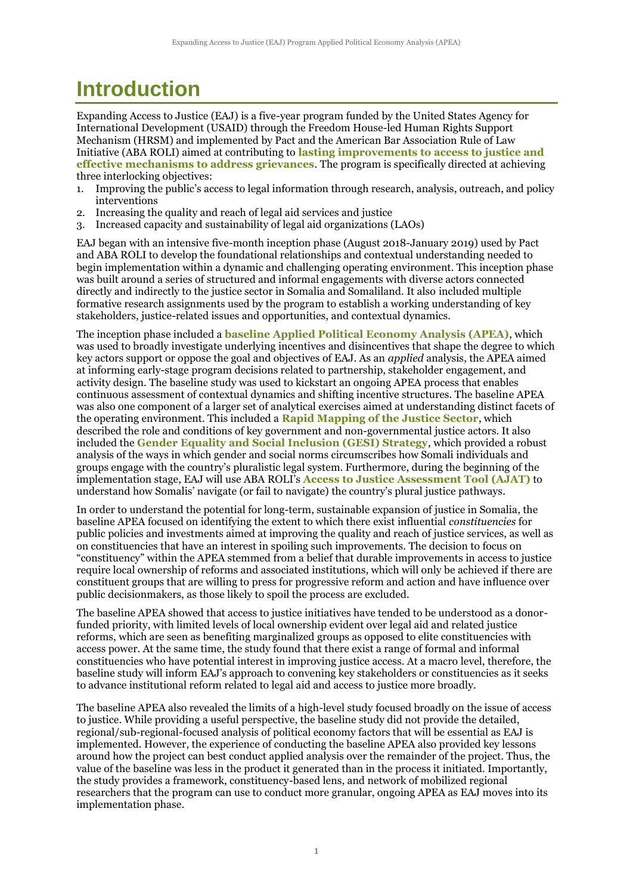## **Introduction**

Expanding Access to Justice (EAJ) is a five-year program funded by the United States Agency for International Development (USAID) through the Freedom House-led Human Rights Support Mechanism (HRSM) and implemented by Pact and the American Bar Association Rule of Law Initiative (ABA ROLI) aimed at contributing to **lasting improvements to access to justice and effective mechanisms to address grievances**. The program is specifically directed at achieving three interlocking objectives:

- 1. Improving the public's access to legal information through research, analysis, outreach, and policy interventions
- 2. Increasing the quality and reach of legal aid services and justice
- 3. Increased capacity and sustainability of legal aid organizations (LAOs)

EAJ began with an intensive five-month inception phase (August 2018-January 2019) used by Pact and ABA ROLI to develop the foundational relationships and contextual understanding needed to begin implementation within a dynamic and challenging operating environment. This inception phase was built around a series of structured and informal engagements with diverse actors connected directly and indirectly to the justice sector in Somalia and Somaliland. It also included multiple formative research assignments used by the program to establish a working understanding of key stakeholders, justice-related issues and opportunities, and contextual dynamics.

The inception phase included a **baseline Applied Political Economy Analysis (APEA)**, which was used to broadly investigate underlying incentives and disincentives that shape the degree to which key actors support or oppose the goal and objectives of EAJ. As an *applied* analysis, the APEA aimed at informing early-stage program decisions related to partnership, stakeholder engagement, and activity design. The baseline study was used to kickstart an ongoing APEA process that enables continuous assessment of contextual dynamics and shifting incentive structures. The baseline APEA was also one component of a larger set of analytical exercises aimed at understanding distinct facets of the operating environment. This included a **Rapid Mapping of the Justice Sector**, which described the role and conditions of key government and non-governmental justice actors. It also included the **Gender Equality and Social Inclusion (GESI) Strategy**, which provided a robust analysis of the ways in which gender and social norms circumscribes how Somali individuals and groups engage with the country's pluralistic legal system. Furthermore, during the beginning of the implementation stage, EAJ will use ABA ROLI's **Access to Justice Assessment Tool (AJAT)** to understand how Somalis' navigate (or fail to navigate) the country's plural justice pathways.

In order to understand the potential for long-term, sustainable expansion of justice in Somalia, the baseline APEA focused on identifying the extent to which there exist influential *constituencies* for public policies and investments aimed at improving the quality and reach of justice services, as well as on constituencies that have an interest in spoiling such improvements. The decision to focus on "constituency" within the APEA stemmed from a belief that durable improvements in access to justice require local ownership of reforms and associated institutions, which will only be achieved if there are constituent groups that are willing to press for progressive reform and action and have influence over public decisionmakers, as those likely to spoil the process are excluded.

The baseline APEA showed that access to justice initiatives have tended to be understood as a donorfunded priority, with limited levels of local ownership evident over legal aid and related justice reforms, which are seen as benefiting marginalized groups as opposed to elite constituencies with access power. At the same time, the study found that there exist a range of formal and informal constituencies who have potential interest in improving justice access. At a macro level, therefore, the baseline study will inform EAJ's approach to convening key stakeholders or constituencies as it seeks to advance institutional reform related to legal aid and access to justice more broadly.

The baseline APEA also revealed the limits of a high-level study focused broadly on the issue of access to justice. While providing a useful perspective, the baseline study did not provide the detailed, regional/sub-regional-focused analysis of political economy factors that will be essential as EAJ is implemented. However, the experience of conducting the baseline APEA also provided key lessons around how the project can best conduct applied analysis over the remainder of the project. Thus, the value of the baseline was less in the product it generated than in the process it initiated. Importantly, the study provides a framework, constituency-based lens, and network of mobilized regional researchers that the program can use to conduct more granular, ongoing APEA as EAJ moves into its implementation phase.